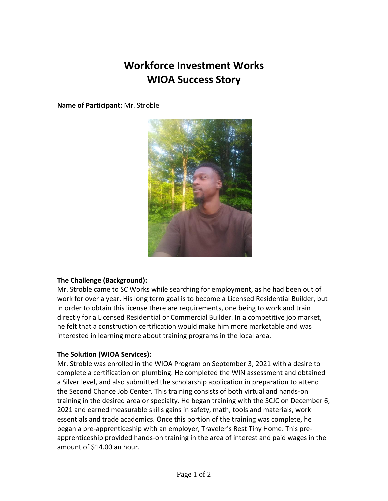## **Workforce Investment Works WIOA Success Story**

**Name of Participant:** Mr. Stroble



#### **The Challenge (Background):**

Mr. Stroble came to SC Works while searching for employment, as he had been out of work for over a year. His long term goal is to become a Licensed Residential Builder, but in order to obtain this license there are requirements, one being to work and train directly for a Licensed Residential or Commercial Builder. In a competitive job market, he felt that a construction certification would make him more marketable and was interested in learning more about training programs in the local area.

#### **The Solution (WIOA Services):**

Mr. Stroble was enrolled in the WIOA Program on September 3, 2021 with a desire to complete a certification on plumbing. He completed the WIN assessment and obtained a Silver level, and also submitted the scholarship application in preparation to attend the Second Chance Job Center. This training consists of both virtual and hands-on training in the desired area or specialty. He began training with the SCJC on December 6, 2021 and earned measurable skills gains in safety, math, tools and materials, work essentials and trade academics. Once this portion of the training was complete, he began a pre-apprenticeship with an employer, Traveler's Rest Tiny Home. This preapprenticeship provided hands-on training in the area of interest and paid wages in the amount of \$14.00 an hour.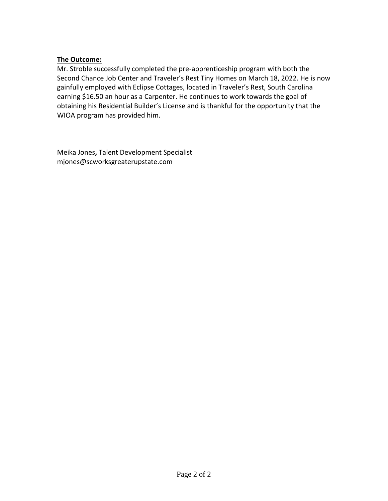### **The Outcome:**

Mr. Stroble successfully completed the pre-apprenticeship program with both the Second Chance Job Center and Traveler's Rest Tiny Homes on March 18, 2022. He is now gainfully employed with Eclipse Cottages, located in Traveler's Rest, South Carolina earning \$16.50 an hour as a Carpenter. He continues to work towards the goal of obtaining his Residential Builder's License and is thankful for the opportunity that the WIOA program has provided him.

Meika Jones**,** Talent Development Specialist mjones@scworksgreaterupstate.com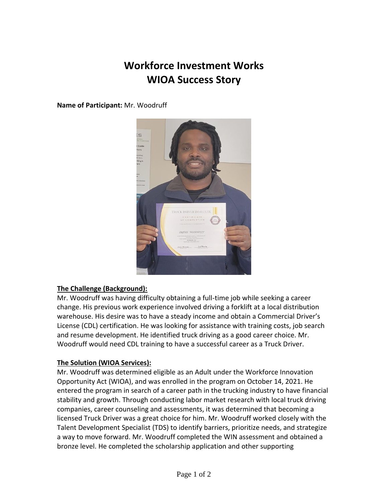# **Workforce Investment Works WIOA Success Story**

**Name of Participant:** Mr. Woodruff



#### **The Challenge (Background):**

Mr. Woodruff was having difficulty obtaining a full-time job while seeking a career change. His previous work experience involved driving a forklift at a local distribution warehouse. His desire was to have a steady income and obtain a Commercial Driver's License (CDL) certification. He was looking for assistance with training costs, job search and resume development. He identified truck driving as a good career choice. Mr. Woodruff would need CDL training to have a successful career as a Truck Driver.

#### **The Solution (WIOA Services):**

Mr. Woodruff was determined eligible as an Adult under the Workforce Innovation Opportunity Act (WIOA), and was enrolled in the program on October 14, 2021. He entered the program in search of a career path in the trucking industry to have financial stability and growth. Through conducting labor market research with local truck driving companies, career counseling and assessments, it was determined that becoming a licensed Truck Driver was a great choice for him. Mr. Woodruff worked closely with the Talent Development Specialist (TDS) to identify barriers, prioritize needs, and strategize a way to move forward. Mr. Woodruff completed the WIN assessment and obtained a bronze level. He completed the scholarship application and other supporting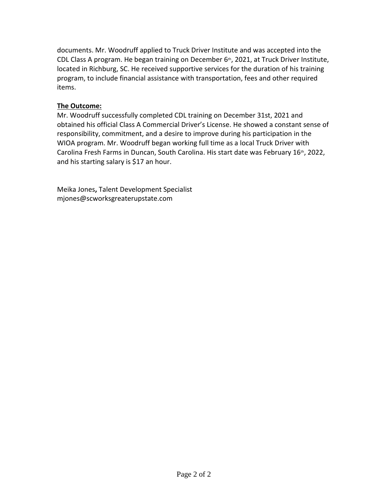documents. Mr. Woodruff applied to Truck Driver Institute and was accepted into the CDL Class A program. He began training on December  $6<sup>th</sup>$ , 2021, at Truck Driver Institute, located in Richburg, SC. He received supportive services for the duration of his training program, to include financial assistance with transportation, fees and other required items.

### **The Outcome:**

Mr. Woodruff successfully completed CDL training on December 31st, 2021 and obtained his official Class A Commercial Driver's License. He showed a constant sense of responsibility, commitment, and a desire to improve during his participation in the WIOA program. Mr. Woodruff began working full time as a local Truck Driver with Carolina Fresh Farms in Duncan, South Carolina. His start date was February  $16<sup>th</sup>$ , 2022, and his starting salary is \$17 an hour.

Meika Jones**,** Talent Development Specialist mjones@scworksgreaterupstate.com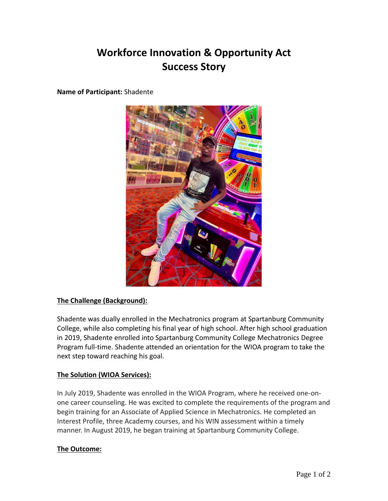## **Workforce Innovation & Opportunity Act Success Story**

**Name of Participant:** Shadente



#### **The Challenge (Background):**

Shadente was dually enrolled in the Mechatronics program at Spartanburg Community College, while also completing his final year of high school. After high school graduation in 2019, Shadente enrolled into Spartanburg Community College Mechatronics Degree Program full-time. Shadente attended an orientation for the WIOA program to take the next step toward reaching his goal.

#### **The Solution (WIOA Services):**

In July 2019, Shadente was enrolled in the WIOA Program, where he received one-onone career counseling. He was excited to complete the requirements of the program and begin training for an Associate of Applied Science in Mechatronics. He completed an Interest Profile, three Academy courses, and his WIN assessment within a timely manner. In August 2019, he began training at Spartanburg Community College.

#### **The Outcome:**